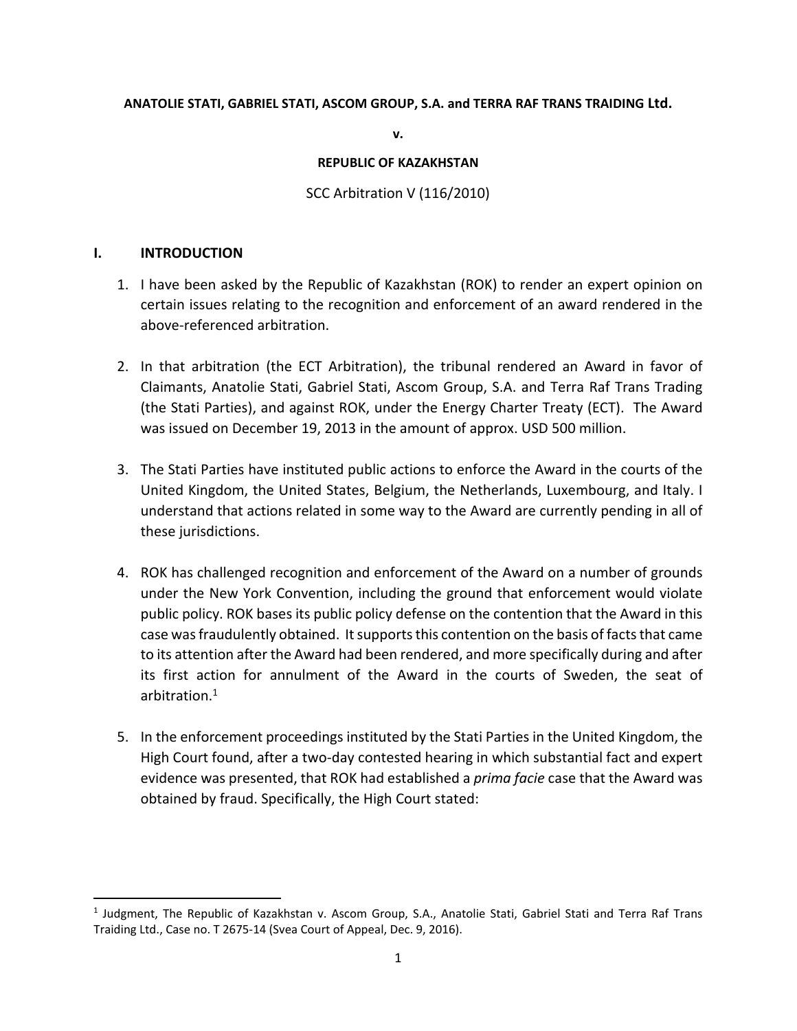### **ANATOLIE STATI, GABRIEL STATI, ASCOM GROUP, S.A. and TERRA RAF TRANS TRAIDING Ltd.**

**v.** 

#### **REPUBLIC OF KAZAKHSTAN**

### SCC Arbitration V (116/2010)

### **I. INTRODUCTION**

- 1. I have been asked by the Republic of Kazakhstan (ROK) to render an expert opinion on certain issues relating to the recognition and enforcement of an award rendered in the above‐referenced arbitration.
- 2. In that arbitration (the ECT Arbitration), the tribunal rendered an Award in favor of Claimants, Anatolie Stati, Gabriel Stati, Ascom Group, S.A. and Terra Raf Trans Trading (the Stati Parties), and against ROK, under the Energy Charter Treaty (ECT). The Award was issued on December 19, 2013 in the amount of approx. USD 500 million.
- 3. The Stati Parties have instituted public actions to enforce the Award in the courts of the United Kingdom, the United States, Belgium, the Netherlands, Luxembourg, and Italy. I understand that actions related in some way to the Award are currently pending in all of these jurisdictions.
- 4. ROK has challenged recognition and enforcement of the Award on a number of grounds under the New York Convention, including the ground that enforcement would violate public policy. ROK bases its public policy defense on the contention that the Award in this case was fraudulently obtained. It supports this contention on the basis of facts that came to its attention after the Award had been rendered, and more specifically during and after its first action for annulment of the Award in the courts of Sweden, the seat of arbitration.1
- 5. In the enforcement proceedings instituted by the Stati Parties in the United Kingdom, the High Court found, after a two-day contested hearing in which substantial fact and expert evidence was presented, that ROK had established a *prima facie* case that the Award was obtained by fraud. Specifically, the High Court stated:

<sup>&</sup>lt;sup>1</sup> Judgment, The Republic of Kazakhstan v. Ascom Group, S.A., Anatolie Stati, Gabriel Stati and Terra Raf Trans Traiding Ltd., Case no. T 2675‐14 (Svea Court of Appeal, Dec. 9, 2016).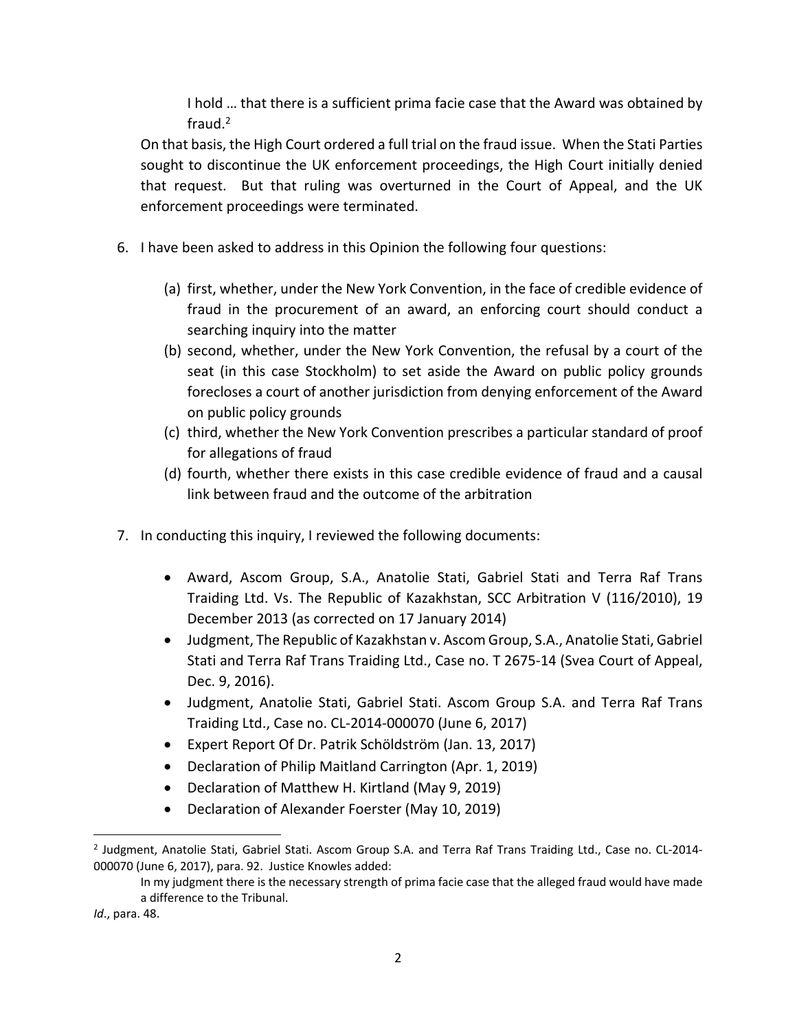I hold … that there is a sufficient prima facie case that the Award was obtained by fraud.2

On that basis, the High Court ordered a full trial on the fraud issue. When the Stati Parties sought to discontinue the UK enforcement proceedings, the High Court initially denied that request. But that ruling was overturned in the Court of Appeal, and the UK enforcement proceedings were terminated.

- 6. I have been asked to address in this Opinion the following four questions:
	- (a) first, whether, under the New York Convention, in the face of credible evidence of fraud in the procurement of an award, an enforcing court should conduct a searching inquiry into the matter
	- (b) second, whether, under the New York Convention, the refusal by a court of the seat (in this case Stockholm) to set aside the Award on public policy grounds forecloses a court of another jurisdiction from denying enforcement of the Award on public policy grounds
	- (c) third, whether the New York Convention prescribes a particular standard of proof for allegations of fraud
	- (d) fourth, whether there exists in this case credible evidence of fraud and a causal link between fraud and the outcome of the arbitration
- 7. In conducting this inquiry, I reviewed the following documents:
	- Award, Ascom Group, S.A., Anatolie Stati, Gabriel Stati and Terra Raf Trans Traiding Ltd. Vs. The Republic of Kazakhstan, SCC Arbitration V (116/2010), 19 December 2013 (as corrected on 17 January 2014)
	- Judgment, The Republic of Kazakhstan v. Ascom Group, S.A., Anatolie Stati, Gabriel Stati and Terra Raf Trans Traiding Ltd., Case no. T 2675‐14 (Svea Court of Appeal, Dec. 9, 2016).
	- Judgment, Anatolie Stati, Gabriel Stati. Ascom Group S.A. and Terra Raf Trans Traiding Ltd., Case no. CL‐2014‐000070 (June 6, 2017)
	- Expert Report Of Dr. Patrik Schöldström (Jan. 13, 2017)
	- Declaration of Philip Maitland Carrington (Apr. 1, 2019)
	- Declaration of Matthew H. Kirtland (May 9, 2019)
	- Declaration of Alexander Foerster (May 10, 2019)

<sup>2</sup> Judgment, Anatolie Stati, Gabriel Stati. Ascom Group S.A. and Terra Raf Trans Traiding Ltd., Case no. CL‐2014‐ 000070 (June 6, 2017), para. 92. Justice Knowles added:

In my judgment there is the necessary strength of prima facie case that the alleged fraud would have made a difference to the Tribunal.

*Id*., para. 48.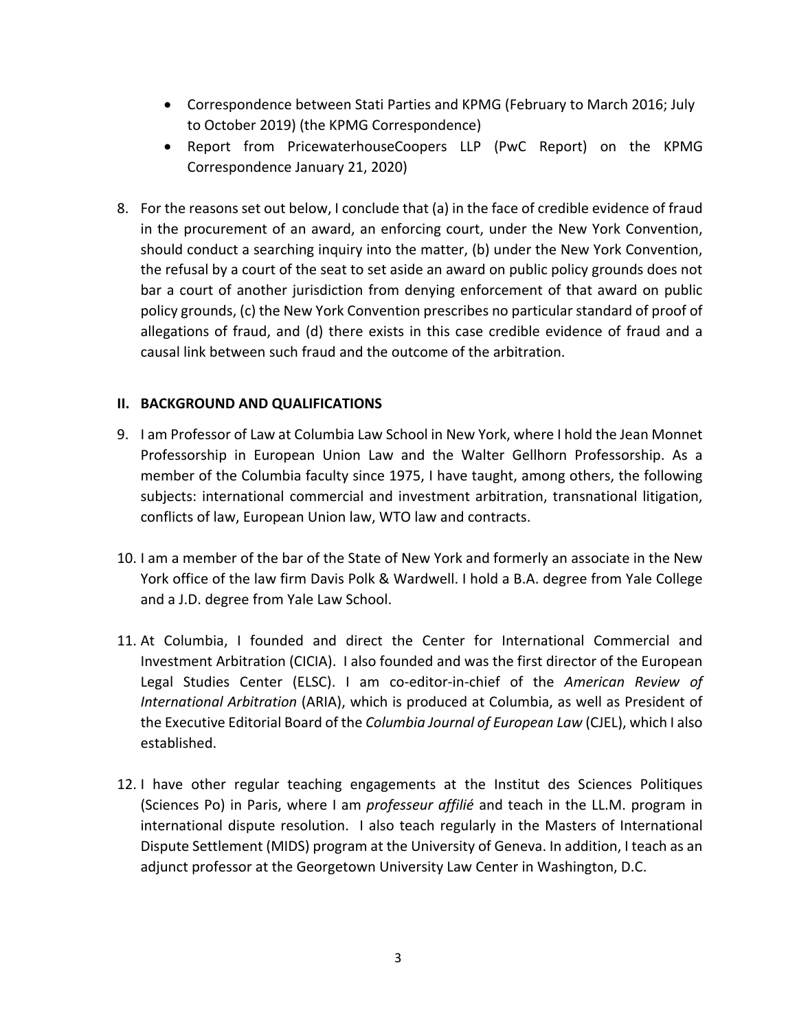- Correspondence between Stati Parties and KPMG (February to March 2016; July to October 2019) (the KPMG Correspondence)
- Report from PricewaterhouseCoopers LLP (PwC Report) on the KPMG Correspondence January 21, 2020)
- 8. For the reasons set out below, I conclude that (a) in the face of credible evidence of fraud in the procurement of an award, an enforcing court, under the New York Convention, should conduct a searching inquiry into the matter, (b) under the New York Convention, the refusal by a court of the seat to set aside an award on public policy grounds does not bar a court of another jurisdiction from denying enforcement of that award on public policy grounds, (c) the New York Convention prescribes no particular standard of proof of allegations of fraud, and (d) there exists in this case credible evidence of fraud and a causal link between such fraud and the outcome of the arbitration.

## **II. BACKGROUND AND QUALIFICATIONS**

- 9. I am Professor of Law at Columbia Law School in New York, where I hold the Jean Monnet Professorship in European Union Law and the Walter Gellhorn Professorship. As a member of the Columbia faculty since 1975, I have taught, among others, the following subjects: international commercial and investment arbitration, transnational litigation, conflicts of law, European Union law, WTO law and contracts.
- 10. I am a member of the bar of the State of New York and formerly an associate in the New York office of the law firm Davis Polk & Wardwell. I hold a B.A. degree from Yale College and a J.D. degree from Yale Law School.
- 11. At Columbia, I founded and direct the Center for International Commercial and Investment Arbitration (CICIA). I also founded and was the first director of the European Legal Studies Center (ELSC). I am co-editor-in-chief of the American Review of *International Arbitration* (ARIA), which is produced at Columbia, as well as President of the Executive Editorial Board of the *Columbia Journal of European Law* (CJEL), which I also established.
- 12. I have other regular teaching engagements at the Institut des Sciences Politiques (Sciences Po) in Paris, where I am *professeur affilié* and teach in the LL.M. program in international dispute resolution. I also teach regularly in the Masters of International Dispute Settlement (MIDS) program at the University of Geneva. In addition, I teach as an adjunct professor at the Georgetown University Law Center in Washington, D.C.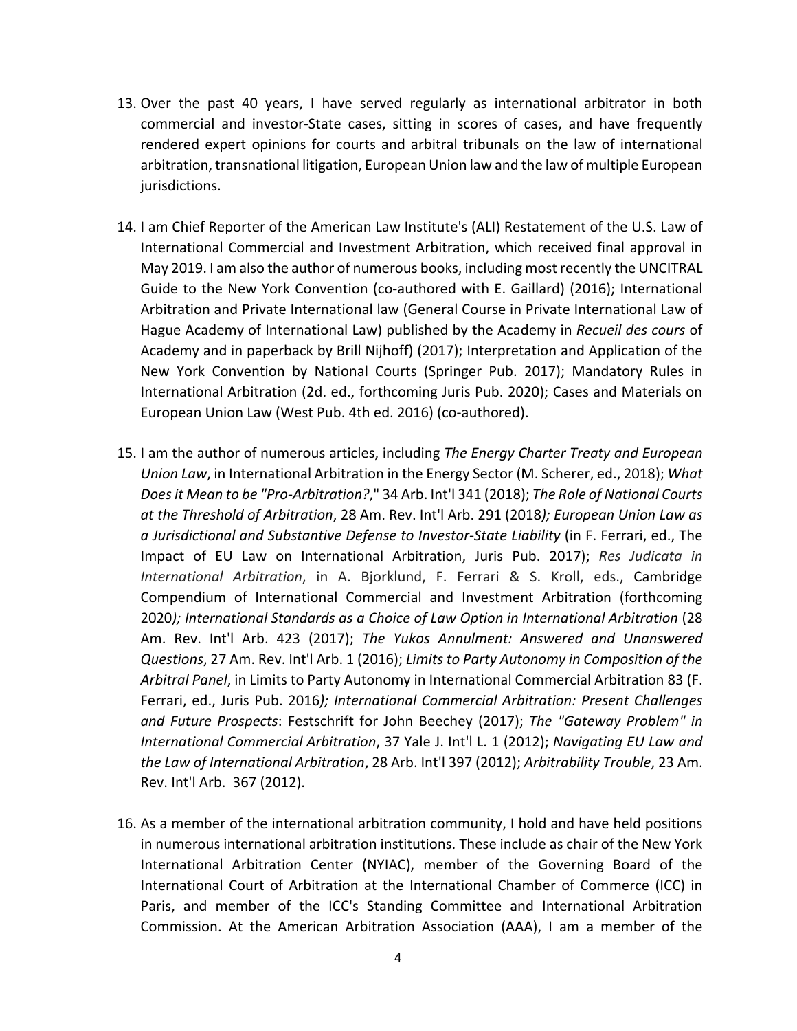- 13. Over the past 40 years, I have served regularly as international arbitrator in both commercial and investor-State cases, sitting in scores of cases, and have frequently rendered expert opinions for courts and arbitral tribunals on the law of international arbitration, transnational litigation, European Union law and the law of multiple European jurisdictions.
- 14. I am Chief Reporter of the American Law Institute's (ALI) Restatement of the U.S. Law of International Commercial and Investment Arbitration, which received final approval in May 2019. I am also the author of numerous books, including most recently the UNCITRAL Guide to the New York Convention (co‐authored with E. Gaillard) (2016); International Arbitration and Private International law (General Course in Private International Law of Hague Academy of International Law) published by the Academy in *Recueil des cours* of Academy and in paperback by Brill Nijhoff) (2017); Interpretation and Application of the New York Convention by National Courts (Springer Pub. 2017); Mandatory Rules in International Arbitration (2d. ed., forthcoming Juris Pub. 2020); Cases and Materials on European Union Law (West Pub. 4th ed. 2016) (co‐authored).
- 15. I am the author of numerous articles, including *The Energy Charter Treaty and European Union Law*, in International Arbitration in the Energy Sector (M. Scherer, ed., 2018); *What Does it Mean to be "Pro‐Arbitration?*," 34 Arb. Int'l 341 (2018); *The Role of National Courts at the Threshold of Arbitration*, 28 Am. Rev. Int'l Arb. 291 (2018*); European Union Law as a Jurisdictional and Substantive Defense to Investor‐State Liability* (in F. Ferrari, ed., The Impact of EU Law on International Arbitration, Juris Pub. 2017); *Res Judicata in International Arbitration*, in A. Bjorklund, F. Ferrari & S. Kroll, eds., Cambridge Compendium of International Commercial and Investment Arbitration (forthcoming 2020*); International Standards as a Choice of Law Option in International Arbitration* (28 Am. Rev. Int'l Arb. 423 (2017); *The Yukos Annulment: Answered and Unanswered Questions*, 27 Am. Rev. Int'l Arb. 1 (2016); *Limits to Party Autonomy in Composition of the Arbitral Panel*, in Limits to Party Autonomy in International Commercial Arbitration 83 (F. Ferrari, ed., Juris Pub. 2016*); International Commercial Arbitration: Present Challenges and Future Prospects*: Festschrift for John Beechey (2017); *The "Gateway Problem" in International Commercial Arbitration*, 37 Yale J. Int'l L. 1 (2012); *Navigating EU Law and the Law of International Arbitration*, 28 Arb. Int'l 397 (2012); *Arbitrability Trouble*, 23 Am. Rev. Int'l Arb. 367 (2012).
- 16. As a member of the international arbitration community, I hold and have held positions in numerous international arbitration institutions. These include as chair of the New York International Arbitration Center (NYIAC), member of the Governing Board of the International Court of Arbitration at the International Chamber of Commerce (ICC) in Paris, and member of the ICC's Standing Committee and International Arbitration Commission. At the American Arbitration Association (AAA), I am a member of the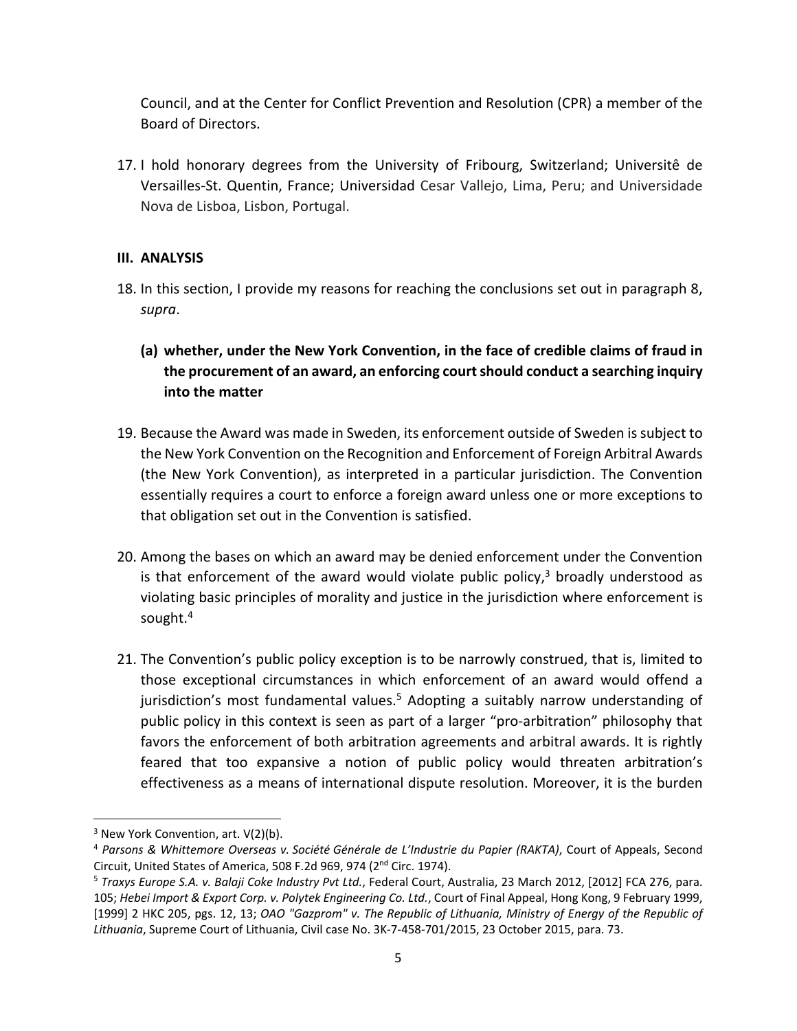Council, and at the Center for Conflict Prevention and Resolution (CPR) a member of the Board of Directors.

17. I hold honorary degrees from the University of Fribourg, Switzerland; Universitê de Versailles‐St. Quentin, France; Universidad Cesar Vallejo, Lima, Peru; and Universidade Nova de Lisboa, Lisbon, Portugal.

## **III. ANALYSIS**

- 18. In this section, I provide my reasons for reaching the conclusions set out in paragraph 8, *supra*.
	- **(a) whether, under the New York Convention, in the face of credible claims of fraud in the procurement of an award, an enforcing court should conduct a searching inquiry into the matter**
- 19. Because the Award was made in Sweden, its enforcement outside of Sweden is subject to the New York Convention on the Recognition and Enforcement of Foreign Arbitral Awards (the New York Convention), as interpreted in a particular jurisdiction. The Convention essentially requires a court to enforce a foreign award unless one or more exceptions to that obligation set out in the Convention is satisfied.
- 20. Among the bases on which an award may be denied enforcement under the Convention is that enforcement of the award would violate public policy, $3$  broadly understood as violating basic principles of morality and justice in the jurisdiction where enforcement is sought.<sup>4</sup>
- 21. The Convention's public policy exception is to be narrowly construed, that is, limited to those exceptional circumstances in which enforcement of an award would offend a jurisdiction's most fundamental values.<sup>5</sup> Adopting a suitably narrow understanding of public policy in this context is seen as part of a larger "pro‐arbitration" philosophy that favors the enforcement of both arbitration agreements and arbitral awards. It is rightly feared that too expansive a notion of public policy would threaten arbitration's effectiveness as a means of international dispute resolution. Moreover, it is the burden

 <sup>3</sup> New York Convention, art. V(2)(b).

<sup>4</sup> *Parsons & Whittemore Overseas v. Société Générale de L'Industrie du Papier (RAKTA)*, Court of Appeals, Second Circuit, United States of America, 508 F.2d 969, 974 (2nd Circ. 1974).

<sup>5</sup> *Traxys Europe S.A. v. Balaji Coke Industry Pvt Ltd.*, Federal Court, Australia, 23 March 2012, [2012] FCA 276, para. 105; *Hebei Import & Export Corp. v. Polytek Engineering Co. Ltd.*, Court of Final Appeal, Hong Kong, 9 February 1999, [1999] 2 HKC 205, pgs. 12, 13; *OAO "Gazprom" v. The Republic of Lithuania, Ministry of Energy of the Republic of Lithuania*, Supreme Court of Lithuania, Civil case No. 3K‐7‐458‐701/2015, 23 October 2015, para. 73.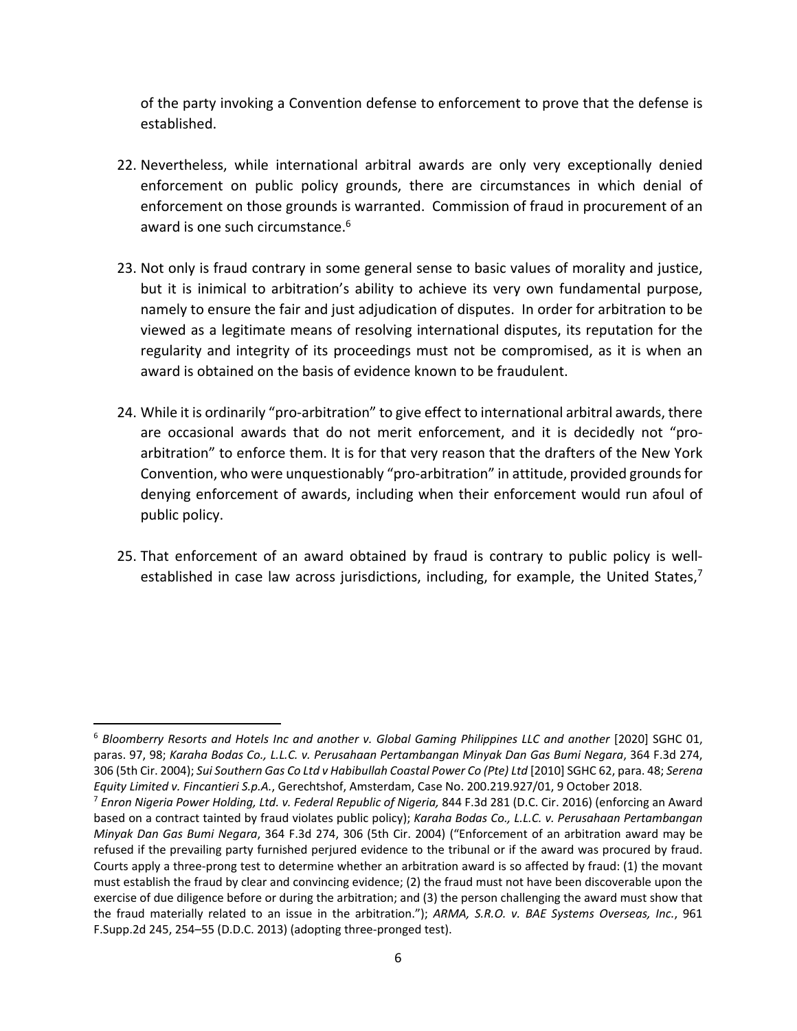of the party invoking a Convention defense to enforcement to prove that the defense is established.

- 22. Nevertheless, while international arbitral awards are only very exceptionally denied enforcement on public policy grounds, there are circumstances in which denial of enforcement on those grounds is warranted. Commission of fraud in procurement of an award is one such circumstance.<sup>6</sup>
- 23. Not only is fraud contrary in some general sense to basic values of morality and justice, but it is inimical to arbitration's ability to achieve its very own fundamental purpose, namely to ensure the fair and just adjudication of disputes. In order for arbitration to be viewed as a legitimate means of resolving international disputes, its reputation for the regularity and integrity of its proceedings must not be compromised, as it is when an award is obtained on the basis of evidence known to be fraudulent.
- 24. While it is ordinarily "pro-arbitration" to give effect to international arbitral awards, there are occasional awards that do not merit enforcement, and it is decidedly not "proarbitration" to enforce them. It is for that very reason that the drafters of the New York Convention, who were unquestionably "pro‐arbitration" in attitude, provided grounds for denying enforcement of awards, including when their enforcement would run afoul of public policy.
- 25. That enforcement of an award obtained by fraud is contrary to public policy is wellestablished in case law across jurisdictions, including, for example, the United States, $<sup>7</sup>$ </sup>

<sup>6</sup> *Bloomberry Resorts and Hotels Inc and another v. Global Gaming Philippines LLC and another* [2020] SGHC 01, paras. 97, 98; *Karaha Bodas Co., L.L.C. v. Perusahaan Pertambangan Minyak Dan Gas Bumi Negara*, 364 F.3d 274, 306 (5th Cir. 2004); *Sui Southern Gas Co Ltd v Habibullah Coastal Power Co (Pte) Ltd* [2010] SGHC 62, para. 48; *Serena Equity Limited v. Fincantieri S.p.A.*, Gerechtshof, Amsterdam, Case No. 200.219.927/01, 9 October 2018.

<sup>7</sup> *Enron Nigeria Power Holding, Ltd. v. Federal Republic of Nigeria,* 844 F.3d 281 (D.C. Cir. 2016) (enforcing an Award based on a contract tainted by fraud violates public policy); *Karaha Bodas Co., L.L.C. v. Perusahaan Pertambangan Minyak Dan Gas Bumi Negara*, 364 F.3d 274, 306 (5th Cir. 2004) ("Enforcement of an arbitration award may be refused if the prevailing party furnished perjured evidence to the tribunal or if the award was procured by fraud. Courts apply a three‐prong test to determine whether an arbitration award is so affected by fraud: (1) the movant must establish the fraud by clear and convincing evidence; (2) the fraud must not have been discoverable upon the exercise of due diligence before or during the arbitration; and (3) the person challenging the award must show that the fraud materially related to an issue in the arbitration."); *ARMA, S.R.O. v. BAE Systems Overseas, Inc.*, 961 F.Supp.2d 245, 254–55 (D.D.C. 2013) (adopting three‐pronged test).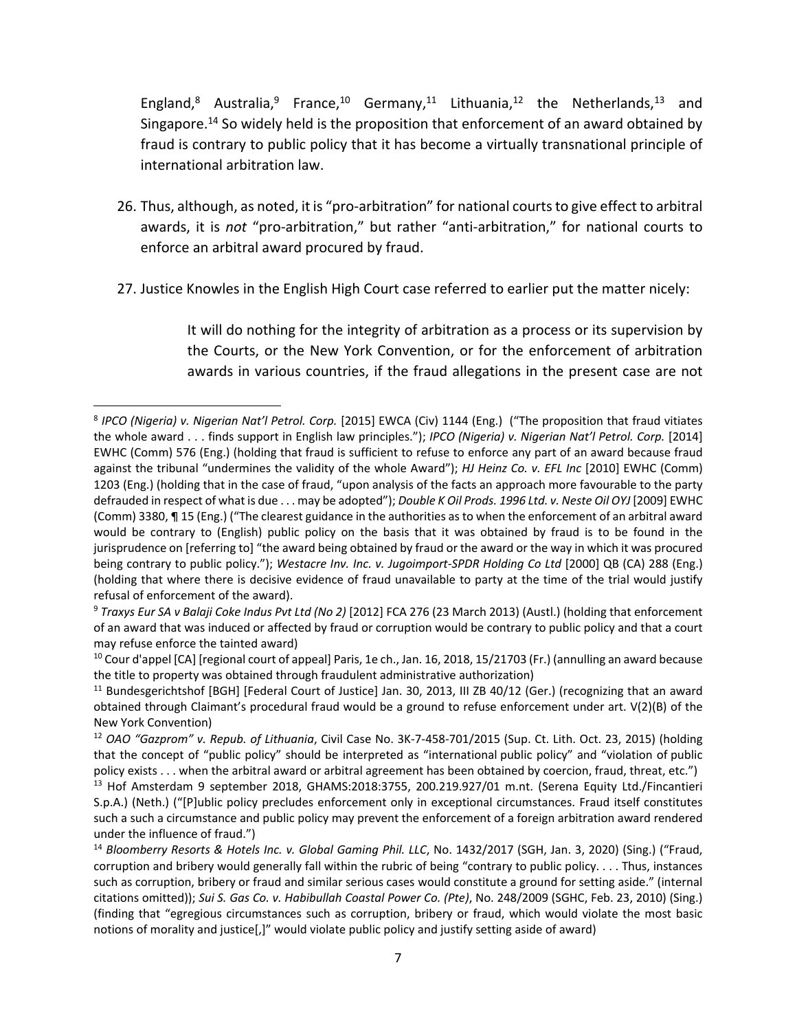England,<sup>8</sup> Australia,<sup>9</sup> France,<sup>10</sup> Germany,<sup>11</sup> Lithuania,<sup>12</sup> the Netherlands,<sup>13</sup> and Singapore.<sup>14</sup> So widely held is the proposition that enforcement of an award obtained by fraud is contrary to public policy that it has become a virtually transnational principle of international arbitration law.

- 26. Thus, although, as noted, it is "pro‐arbitration" for national courts to give effect to arbitral awards, it is *not* "pro‐arbitration," but rather "anti‐arbitration," for national courts to enforce an arbitral award procured by fraud.
- 27. Justice Knowles in the English High Court case referred to earlier put the matter nicely:

It will do nothing for the integrity of arbitration as a process or its supervision by the Courts, or the New York Convention, or for the enforcement of arbitration awards in various countries, if the fraud allegations in the present case are not

 <sup>8</sup> *IPCO (Nigeria) v. Nigerian Nat'l Petrol. Corp.* [2015] EWCA (Civ) 1144 (Eng.) ("The proposition that fraud vitiates the whole award . . . finds support in English law principles."); *IPCO (Nigeria) v. Nigerian Nat'l Petrol. Corp.* [2014] EWHC (Comm) 576 (Eng.) (holding that fraud is sufficient to refuse to enforce any part of an award because fraud against the tribunal "undermines the validity of the whole Award"); *HJ Heinz Co. v. EFL Inc* [2010] EWHC (Comm) 1203 (Eng.) (holding that in the case of fraud, "upon analysis of the facts an approach more favourable to the party defrauded in respect of what is due . . . may be adopted"); *Double K Oil Prods. 1996 Ltd. v. Neste Oil OYJ* [2009] EWHC (Comm) 3380, ¶ 15 (Eng.) ("The clearest guidance in the authorities as to when the enforcement of an arbitral award would be contrary to (English) public policy on the basis that it was obtained by fraud is to be found in the jurisprudence on [referring to] "the award being obtained by fraud or the award or the way in which it was procured being contrary to public policy."); *Westacre Inv. Inc. v. Jugoimport‐SPDR Holding Co Ltd* [2000] QB (CA) 288 (Eng.) (holding that where there is decisive evidence of fraud unavailable to party at the time of the trial would justify refusal of enforcement of the award).

<sup>9</sup> *Traxys Eur SA v Balaji Coke Indus Pvt Ltd (No 2)* [2012] FCA 276 (23 March 2013) (Austl.) (holding that enforcement of an award that was induced or affected by fraud or corruption would be contrary to public policy and that a court may refuse enforce the tainted award)

<sup>&</sup>lt;sup>10</sup> Cour d'appel [CA] [regional court of appeal] Paris, 1e ch., Jan. 16, 2018, 15/21703 (Fr.) (annulling an award because the title to property was obtained through fraudulent administrative authorization)

<sup>11</sup> Bundesgerichtshof [BGH] [Federal Court of Justice] Jan. 30, 2013, III ZB 40/12 (Ger.) (recognizing that an award obtained through Claimant's procedural fraud would be a ground to refuse enforcement under art. V(2)(B) of the New York Convention)

<sup>12</sup> *OAO "Gazprom" v. Repub. of Lithuania*, Civil Case No. 3K‐7‐458‐701/2015 (Sup. Ct. Lith. Oct. 23, 2015) (holding that the concept of "public policy" should be interpreted as "international public policy" and "violation of public policy exists . . . when the arbitral award or arbitral agreement has been obtained by coercion, fraud, threat, etc.")

<sup>&</sup>lt;sup>13</sup> Hof Amsterdam 9 september 2018, GHAMS:2018:3755, 200.219.927/01 m.nt. (Serena Equity Ltd./Fincantieri S.p.A.) (Neth.) ("[P]ublic policy precludes enforcement only in exceptional circumstances. Fraud itself constitutes such a such a circumstance and public policy may prevent the enforcement of a foreign arbitration award rendered under the influence of fraud.")

<sup>14</sup> *Bloomberry Resorts & Hotels Inc. v. Global Gaming Phil. LLC*, No. 1432/2017 (SGH, Jan. 3, 2020) (Sing.) ("Fraud, corruption and bribery would generally fall within the rubric of being "contrary to public policy. . . . Thus, instances such as corruption, bribery or fraud and similar serious cases would constitute a ground for setting aside." (internal citations omitted)); *Sui S. Gas Co. v. Habibullah Coastal Power Co. (Pte)*, No. 248/2009 (SGHC, Feb. 23, 2010) (Sing.) (finding that "egregious circumstances such as corruption, bribery or fraud, which would violate the most basic notions of morality and justice[,]" would violate public policy and justify setting aside of award)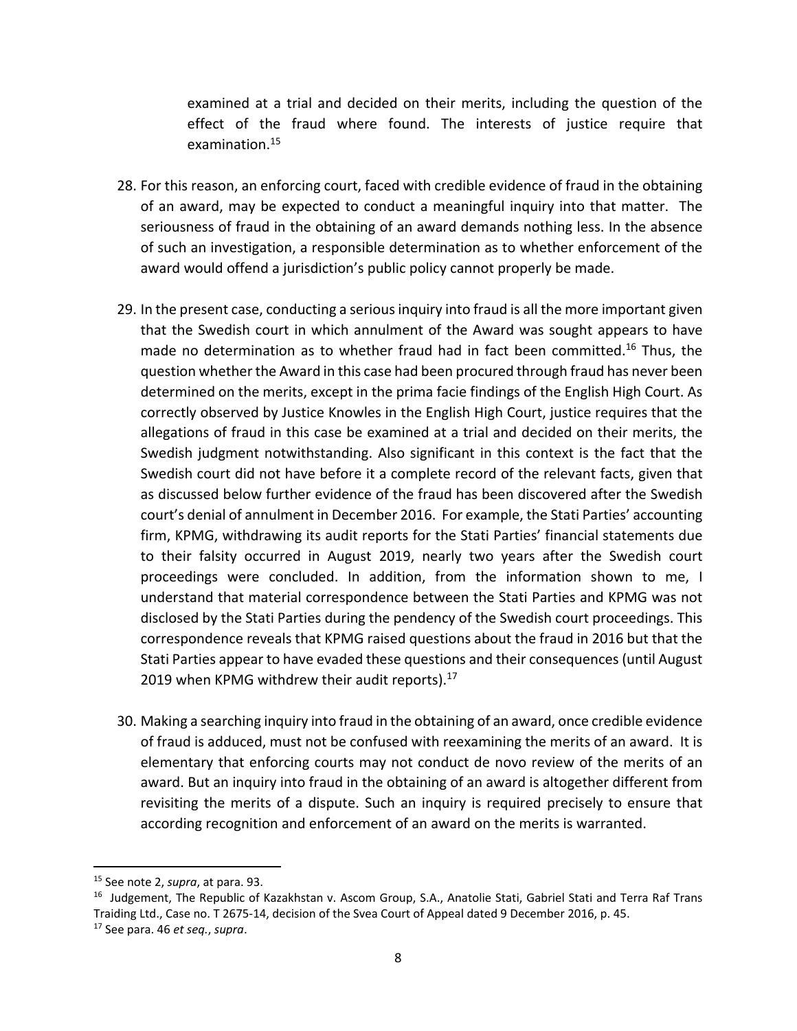examined at a trial and decided on their merits, including the question of the effect of the fraud where found. The interests of justice require that examination.<sup>15</sup>

- 28. For this reason, an enforcing court, faced with credible evidence of fraud in the obtaining of an award, may be expected to conduct a meaningful inquiry into that matter. The seriousness of fraud in the obtaining of an award demands nothing less. In the absence of such an investigation, a responsible determination as to whether enforcement of the award would offend a jurisdiction's public policy cannot properly be made.
- 29. In the present case, conducting a serious inquiry into fraud is all the more important given that the Swedish court in which annulment of the Award was sought appears to have made no determination as to whether fraud had in fact been committed.<sup>16</sup> Thus, the question whether the Award in this case had been procured through fraud has never been determined on the merits, except in the prima facie findings of the English High Court. As correctly observed by Justice Knowles in the English High Court, justice requires that the allegations of fraud in this case be examined at a trial and decided on their merits, the Swedish judgment notwithstanding. Also significant in this context is the fact that the Swedish court did not have before it a complete record of the relevant facts, given that as discussed below further evidence of the fraud has been discovered after the Swedish court's denial of annulment in December 2016. For example, the Stati Parties' accounting firm, KPMG, withdrawing its audit reports for the Stati Parties' financial statements due to their falsity occurred in August 2019, nearly two years after the Swedish court proceedings were concluded. In addition, from the information shown to me, I understand that material correspondence between the Stati Parties and KPMG was not disclosed by the Stati Parties during the pendency of the Swedish court proceedings. This correspondence reveals that KPMG raised questions about the fraud in 2016 but that the Stati Parties appear to have evaded these questions and their consequences (until August 2019 when KPMG withdrew their audit reports). $17$
- 30. Making a searching inquiry into fraud in the obtaining of an award, once credible evidence of fraud is adduced, must not be confused with reexamining the merits of an award. It is elementary that enforcing courts may not conduct de novo review of the merits of an award. But an inquiry into fraud in the obtaining of an award is altogether different from revisiting the merits of a dispute. Such an inquiry is required precisely to ensure that according recognition and enforcement of an award on the merits is warranted.

<sup>15</sup> See note 2, *supra*, at para. 93.

<sup>&</sup>lt;sup>16</sup> Judgement, The Republic of Kazakhstan v. Ascom Group, S.A., Anatolie Stati, Gabriel Stati and Terra Raf Trans Traiding Ltd., Case no. T 2675‐14, decision of the Svea Court of Appeal dated 9 December 2016, p. 45.

<sup>17</sup> See para. 46 *et seq.*, *supra*.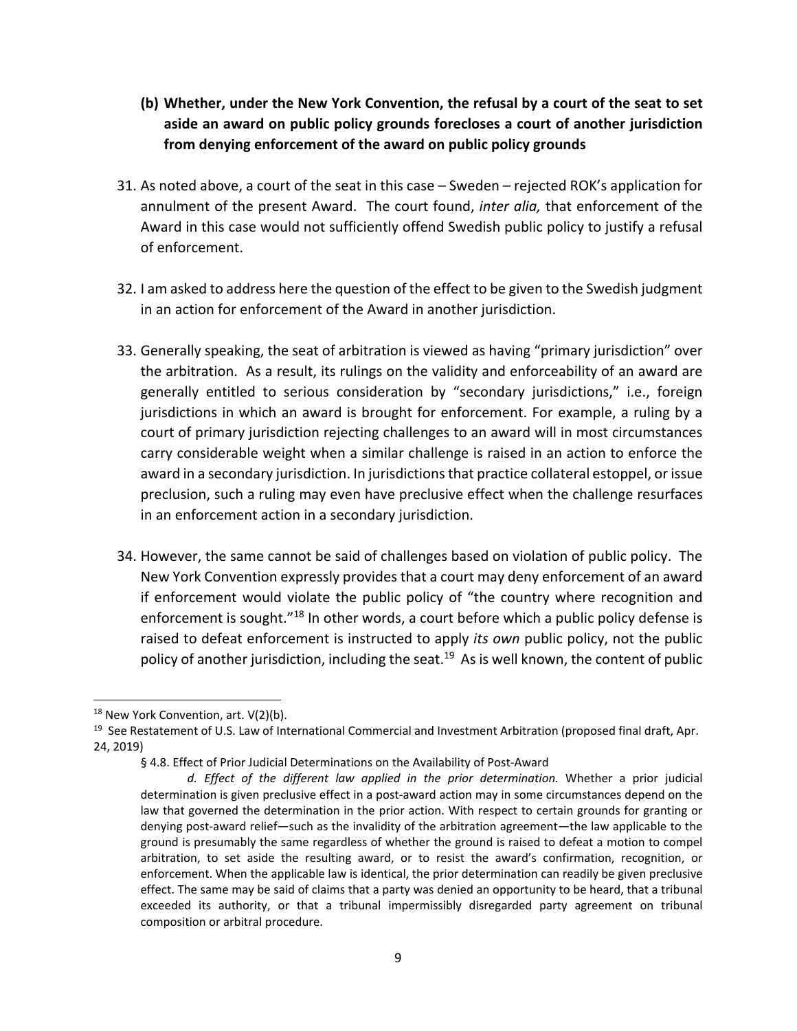- **(b) Whether, under the New York Convention, the refusal by a court of the seat to set aside an award on public policy grounds forecloses a court of another jurisdiction from denying enforcement of the award on public policy grounds**
- 31. As noted above, a court of the seat in this case Sweden rejected ROK's application for annulment of the present Award. The court found, *inter alia,* that enforcement of the Award in this case would not sufficiently offend Swedish public policy to justify a refusal of enforcement.
- 32. I am asked to address here the question of the effect to be given to the Swedish judgment in an action for enforcement of the Award in another jurisdiction.
- 33. Generally speaking, the seat of arbitration is viewed as having "primary jurisdiction" over the arbitration. As a result, its rulings on the validity and enforceability of an award are generally entitled to serious consideration by "secondary jurisdictions," i.e., foreign jurisdictions in which an award is brought for enforcement. For example, a ruling by a court of primary jurisdiction rejecting challenges to an award will in most circumstances carry considerable weight when a similar challenge is raised in an action to enforce the award in a secondary jurisdiction. In jurisdictions that practice collateral estoppel, or issue preclusion, such a ruling may even have preclusive effect when the challenge resurfaces in an enforcement action in a secondary jurisdiction.
- 34. However, the same cannot be said of challenges based on violation of public policy. The New York Convention expressly provides that a court may deny enforcement of an award if enforcement would violate the public policy of "the country where recognition and enforcement is sought.<sup>"18</sup> In other words, a court before which a public policy defense is raised to defeat enforcement is instructed to apply *its own* public policy, not the public policy of another jurisdiction, including the seat.<sup>19</sup> As is well known, the content of public

 <sup>18</sup> New York Convention, art. V(2)(b).

<sup>&</sup>lt;sup>19</sup> See Restatement of U.S. Law of International Commercial and Investment Arbitration (proposed final draft, Apr. 24, 2019)

<sup>§ 4.8.</sup> Effect of Prior Judicial Determinations on the Availability of Post-Award

*d. Effect of the different law applied in the prior determination.* Whether a prior judicial determination is given preclusive effect in a post-award action may in some circumstances depend on the law that governed the determination in the prior action. With respect to certain grounds for granting or denying post-award relief—such as the invalidity of the arbitration agreement—the law applicable to the ground is presumably the same regardless of whether the ground is raised to defeat a motion to compel arbitration, to set aside the resulting award, or to resist the award's confirmation, recognition, or enforcement. When the applicable law is identical, the prior determination can readily be given preclusive effect. The same may be said of claims that a party was denied an opportunity to be heard, that a tribunal exceeded its authority, or that a tribunal impermissibly disregarded party agreement on tribunal composition or arbitral procedure.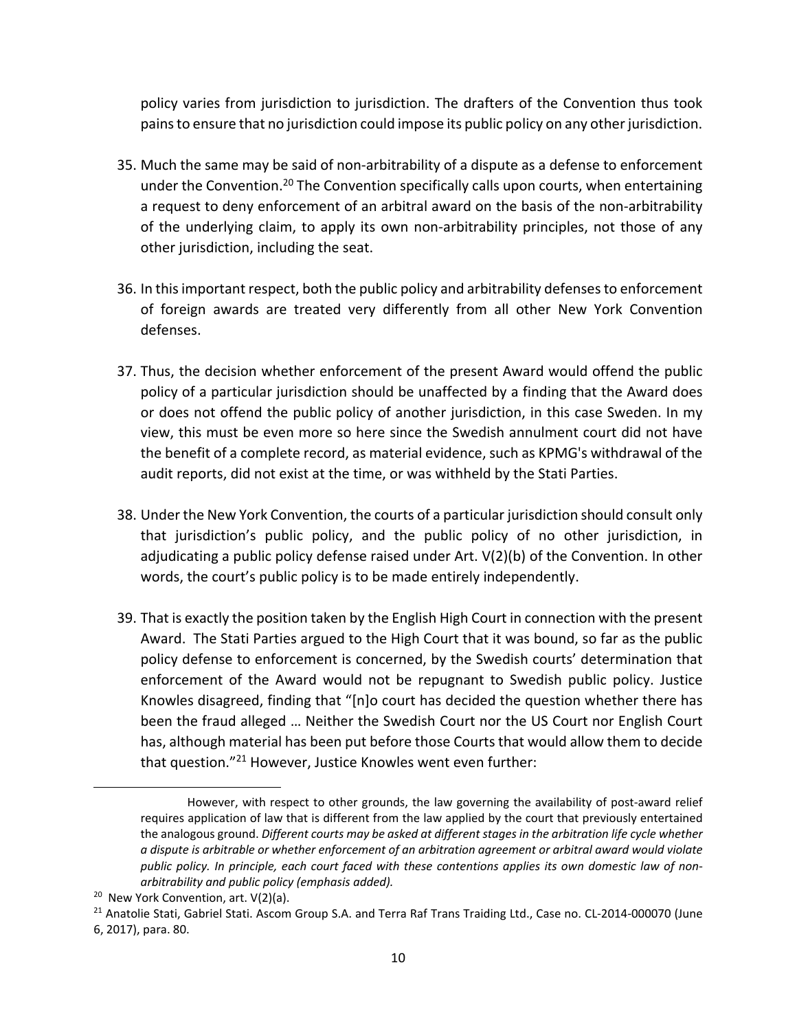policy varies from jurisdiction to jurisdiction. The drafters of the Convention thus took pains to ensure that no jurisdiction could impose its public policy on any other jurisdiction.

- 35. Much the same may be said of non‐arbitrability of a dispute as a defense to enforcement under the Convention.<sup>20</sup> The Convention specifically calls upon courts, when entertaining a request to deny enforcement of an arbitral award on the basis of the non‐arbitrability of the underlying claim, to apply its own non‐arbitrability principles, not those of any other jurisdiction, including the seat.
- 36. In this important respect, both the public policy and arbitrability defenses to enforcement of foreign awards are treated very differently from all other New York Convention defenses.
- 37. Thus, the decision whether enforcement of the present Award would offend the public policy of a particular jurisdiction should be unaffected by a finding that the Award does or does not offend the public policy of another jurisdiction, in this case Sweden. In my view, this must be even more so here since the Swedish annulment court did not have the benefit of a complete record, as material evidence, such as KPMG's withdrawal of the audit reports, did not exist at the time, or was withheld by the Stati Parties.
- 38. Under the New York Convention, the courts of a particular jurisdiction should consult only that jurisdiction's public policy, and the public policy of no other jurisdiction, in adjudicating a public policy defense raised under Art. V(2)(b) of the Convention. In other words, the court's public policy is to be made entirely independently.
- 39. That is exactly the position taken by the English High Court in connection with the present Award. The Stati Parties argued to the High Court that it was bound, so far as the public policy defense to enforcement is concerned, by the Swedish courts' determination that enforcement of the Award would not be repugnant to Swedish public policy. Justice Knowles disagreed, finding that "[n]o court has decided the question whether there has been the fraud alleged … Neither the Swedish Court nor the US Court nor English Court has, although material has been put before those Courts that would allow them to decide that question."21 However, Justice Knowles went even further:

 However, with respect to other grounds, the law governing the availability of post-award relief requires application of law that is different from the law applied by the court that previously entertained the analogous ground. *Different courts may be asked at different stages in the arbitration life cycle whether a dispute is arbitrable or whether enforcement of an arbitration agreement or arbitral award would violate public policy. In principle, each court faced with these contentions applies its own domestic law of non‐ arbitrability and public policy (emphasis added).*

<sup>&</sup>lt;sup>20</sup> New York Convention, art.  $V(2)(a)$ .

<sup>&</sup>lt;sup>21</sup> Anatolie Stati, Gabriel Stati. Ascom Group S.A. and Terra Raf Trans Traiding Ltd., Case no. CL-2014-000070 (June 6, 2017), para. 80.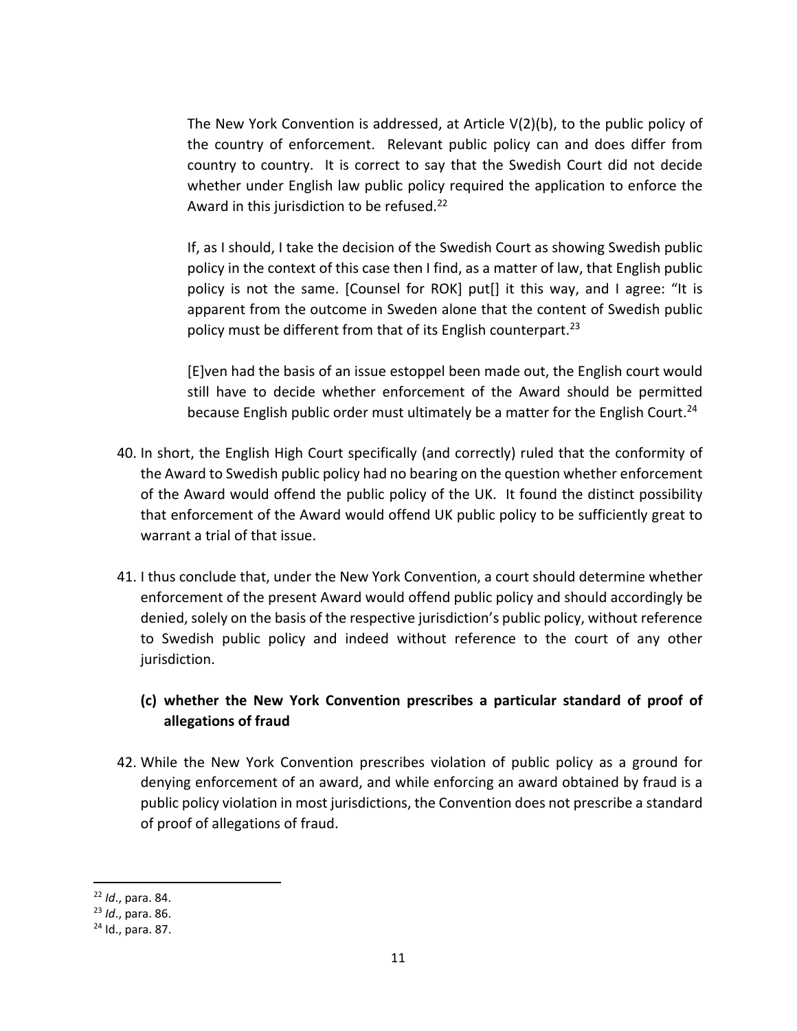The New York Convention is addressed, at Article V(2)(b), to the public policy of the country of enforcement. Relevant public policy can and does differ from country to country. It is correct to say that the Swedish Court did not decide whether under English law public policy required the application to enforce the Award in this jurisdiction to be refused.<sup>22</sup>

If, as I should, I take the decision of the Swedish Court as showing Swedish public policy in the context of this case then I find, as a matter of law, that English public policy is not the same. [Counsel for ROK] put[] it this way, and I agree: "It is apparent from the outcome in Sweden alone that the content of Swedish public policy must be different from that of its English counterpart.<sup>23</sup>

[E]ven had the basis of an issue estoppel been made out, the English court would still have to decide whether enforcement of the Award should be permitted because English public order must ultimately be a matter for the English Court.<sup>24</sup>

- 40. In short, the English High Court specifically (and correctly) ruled that the conformity of the Award to Swedish public policy had no bearing on the question whether enforcement of the Award would offend the public policy of the UK. It found the distinct possibility that enforcement of the Award would offend UK public policy to be sufficiently great to warrant a trial of that issue.
- 41. I thus conclude that, under the New York Convention, a court should determine whether enforcement of the present Award would offend public policy and should accordingly be denied, solely on the basis of the respective jurisdiction's public policy, without reference to Swedish public policy and indeed without reference to the court of any other jurisdiction.

# **(c) whether the New York Convention prescribes a particular standard of proof of allegations of fraud**

42. While the New York Convention prescribes violation of public policy as a ground for denying enforcement of an award, and while enforcing an award obtained by fraud is a public policy violation in most jurisdictions, the Convention does not prescribe a standard of proof of allegations of fraud.

<sup>22</sup> *Id*., para. 84.

<sup>23</sup> *Id*., para. 86.

<sup>24</sup> Id., para. 87.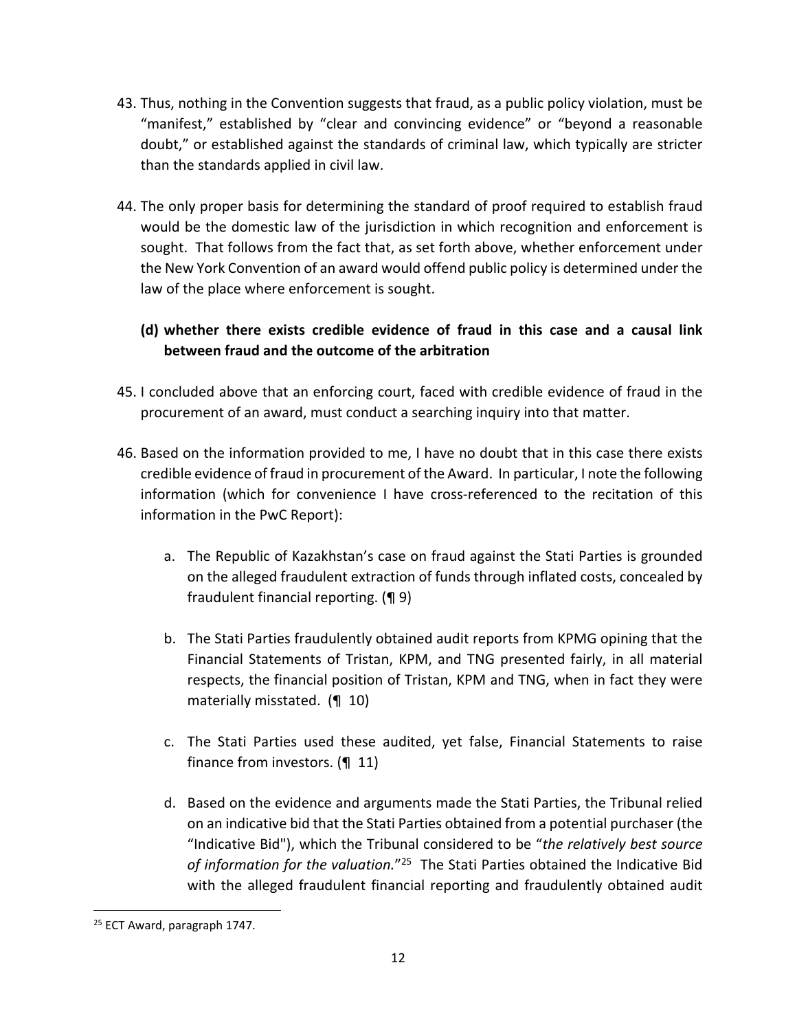- 43. Thus, nothing in the Convention suggests that fraud, as a public policy violation, must be "manifest," established by "clear and convincing evidence" or "beyond a reasonable doubt," or established against the standards of criminal law, which typically are stricter than the standards applied in civil law.
- 44. The only proper basis for determining the standard of proof required to establish fraud would be the domestic law of the jurisdiction in which recognition and enforcement is sought. That follows from the fact that, as set forth above, whether enforcement under the New York Convention of an award would offend public policy is determined under the law of the place where enforcement is sought.
	- **(d) whether there exists credible evidence of fraud in this case and a causal link between fraud and the outcome of the arbitration**
- 45. I concluded above that an enforcing court, faced with credible evidence of fraud in the procurement of an award, must conduct a searching inquiry into that matter.
- 46. Based on the information provided to me, I have no doubt that in this case there exists credible evidence of fraud in procurement of the Award. In particular, I note the following information (which for convenience I have cross-referenced to the recitation of this information in the PwC Report):
	- a. The Republic of Kazakhstan's case on fraud against the Stati Parties is grounded on the alleged fraudulent extraction of funds through inflated costs, concealed by fraudulent financial reporting. (¶ 9)
	- b. The Stati Parties fraudulently obtained audit reports from KPMG opining that the Financial Statements of Tristan, KPM, and TNG presented fairly, in all material respects, the financial position of Tristan, KPM and TNG, when in fact they were materially misstated. (¶ 10)
	- c. The Stati Parties used these audited, yet false, Financial Statements to raise finance from investors. (¶ 11)
	- d. Based on the evidence and arguments made the Stati Parties, the Tribunal relied on an indicative bid that the Stati Parties obtained from a potential purchaser (the "Indicative Bid"), which the Tribunal considered to be "*the relatively best source of information for the valuation.*"25 The Stati Parties obtained the Indicative Bid with the alleged fraudulent financial reporting and fraudulently obtained audit

<sup>&</sup>lt;sup>25</sup> ECT Award, paragraph 1747.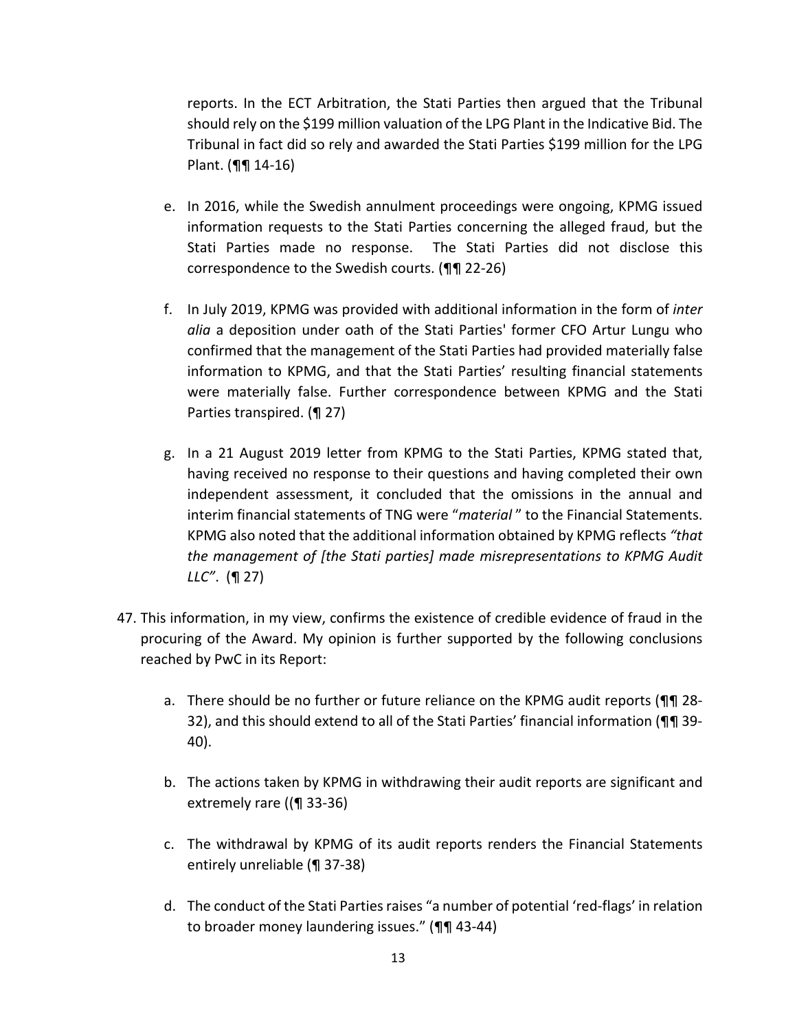reports. In the ECT Arbitration, the Stati Parties then argued that the Tribunal should rely on the \$199 million valuation of the LPG Plant in the Indicative Bid. The Tribunal in fact did so rely and awarded the Stati Parties \$199 million for the LPG Plant. (¶¶ 14‐16)

- e. In 2016, while the Swedish annulment proceedings were ongoing, KPMG issued information requests to the Stati Parties concerning the alleged fraud, but the Stati Parties made no response. The Stati Parties did not disclose this correspondence to the Swedish courts. (¶¶ 22‐26)
- f. In July 2019, KPMG was provided with additional information in the form of *inter alia*  a deposition under oath of the Stati Parties' former CFO Artur Lungu who confirmed that the management of the Stati Parties had provided materially false information to KPMG, and that the Stati Parties' resulting financial statements were materially false. Further correspondence between KPMG and the Stati Parties transpired. (¶ 27)
- g. In a 21 August 2019 letter from KPMG to the Stati Parties, KPMG stated that, having received no response to their questions and having completed their own independent assessment, it concluded that the omissions in the annual and interim financial statements of TNG were "*material* " to the Financial Statements. KPMG also noted that the additional information obtained by KPMG reflects *"that the management of [the Stati parties] made misrepresentations to KPMG Audit LLC"*. (¶ 27)
- 47. This information, in my view, confirms the existence of credible evidence of fraud in the procuring of the Award. My opinion is further supported by the following conclusions reached by PwC in its Report:
	- a. There should be no further or future reliance on the KPMG audit reports (¶¶ 28-32), and this should extend to all of the Stati Parties' financial information (¶¶ 39‐ 40).
	- b. The actions taken by KPMG in withdrawing their audit reports are significant and extremely rare ((¶ 33‐36)
	- c. The withdrawal by KPMG of its audit reports renders the Financial Statements entirely unreliable (¶ 37‐38)
	- d. The conduct of the Stati Parties raises "a number of potential 'red‐flags' in relation to broader money laundering issues." (¶¶ 43‐44)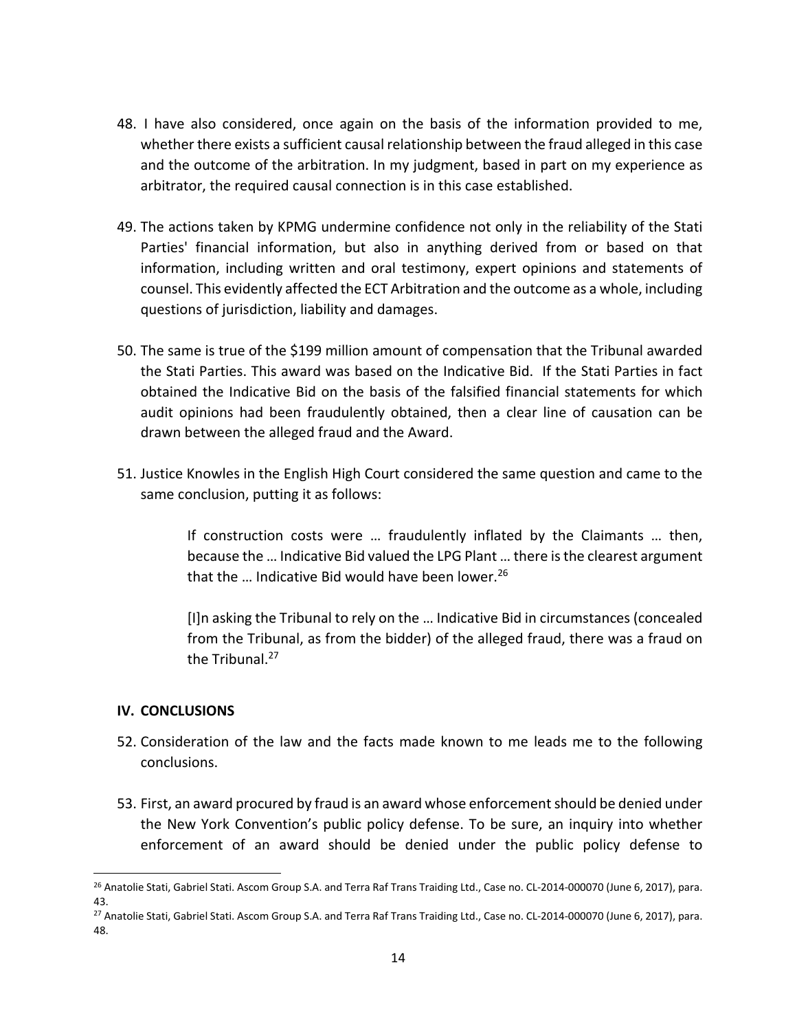- 48. I have also considered, once again on the basis of the information provided to me, whether there exists a sufficient causal relationship between the fraud alleged in this case and the outcome of the arbitration. In my judgment, based in part on my experience as arbitrator, the required causal connection is in this case established.
- 49. The actions taken by KPMG undermine confidence not only in the reliability of the Stati Parties' financial information, but also in anything derived from or based on that information, including written and oral testimony, expert opinions and statements of counsel. This evidently affected the ECT Arbitration and the outcome as a whole, including questions of jurisdiction, liability and damages.
- 50. The same is true of the \$199 million amount of compensation that the Tribunal awarded the Stati Parties. This award was based on the Indicative Bid. If the Stati Parties in fact obtained the Indicative Bid on the basis of the falsified financial statements for which audit opinions had been fraudulently obtained, then a clear line of causation can be drawn between the alleged fraud and the Award.
- 51. Justice Knowles in the English High Court considered the same question and came to the same conclusion, putting it as follows:

If construction costs were … fraudulently inflated by the Claimants … then, because the … Indicative Bid valued the LPG Plant … there is the clearest argument that the ... Indicative Bid would have been lower.<sup>26</sup>

[I]n asking the Tribunal to rely on the … Indicative Bid in circumstances (concealed from the Tribunal, as from the bidder) of the alleged fraud, there was a fraud on the Tribunal.<sup>27</sup>

### **IV. CONCLUSIONS**

- 52. Consideration of the law and the facts made known to me leads me to the following conclusions.
- 53. First, an award procured by fraud is an award whose enforcement should be denied under the New York Convention's public policy defense. To be sure, an inquiry into whether enforcement of an award should be denied under the public policy defense to

<sup>&</sup>lt;sup>26</sup> Anatolie Stati, Gabriel Stati. Ascom Group S.A. and Terra Raf Trans Traiding Ltd., Case no. CL-2014-000070 (June 6, 2017), para. 43.

<sup>&</sup>lt;sup>27</sup> Anatolie Stati, Gabriel Stati. Ascom Group S.A. and Terra Raf Trans Traiding Ltd., Case no. CL-2014-000070 (June 6, 2017), para. 48.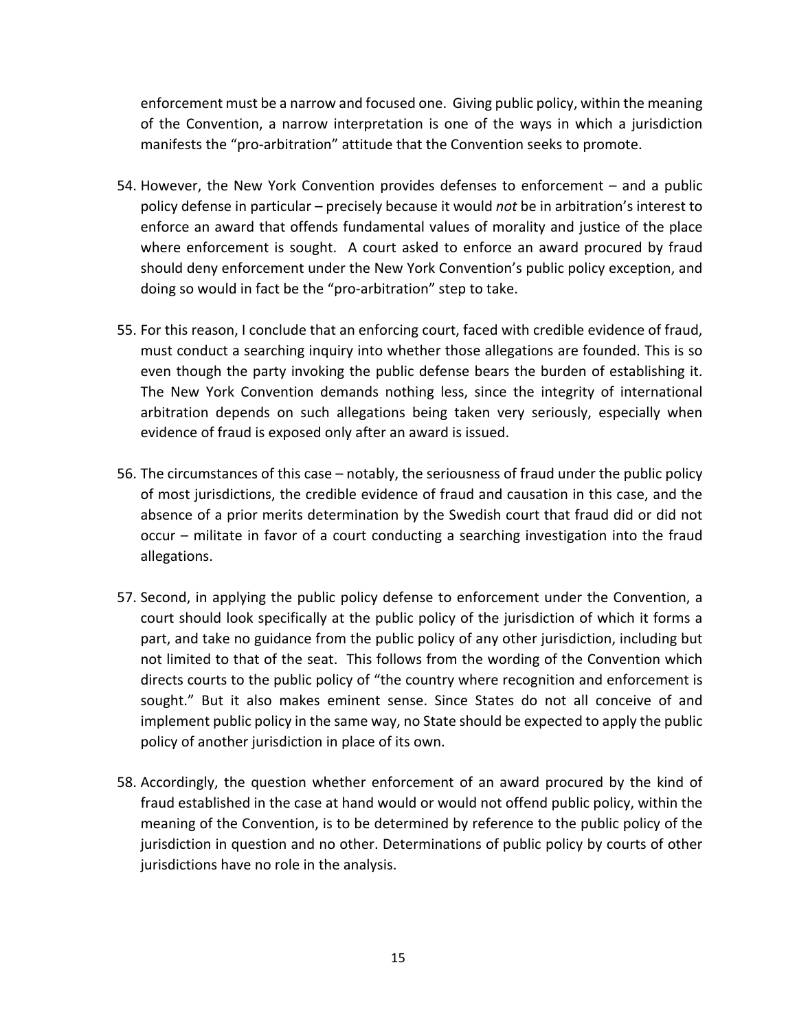enforcement must be a narrow and focused one. Giving public policy, within the meaning of the Convention, a narrow interpretation is one of the ways in which a jurisdiction manifests the "pro‐arbitration" attitude that the Convention seeks to promote.

- 54. However, the New York Convention provides defenses to enforcement and a public policy defense in particular – precisely because it would *not* be in arbitration's interest to enforce an award that offends fundamental values of morality and justice of the place where enforcement is sought. A court asked to enforce an award procured by fraud should deny enforcement under the New York Convention's public policy exception, and doing so would in fact be the "pro‐arbitration" step to take.
- 55. For this reason, I conclude that an enforcing court, faced with credible evidence of fraud, must conduct a searching inquiry into whether those allegations are founded. This is so even though the party invoking the public defense bears the burden of establishing it. The New York Convention demands nothing less, since the integrity of international arbitration depends on such allegations being taken very seriously, especially when evidence of fraud is exposed only after an award is issued.
- 56. The circumstances of this case notably, the seriousness of fraud under the public policy of most jurisdictions, the credible evidence of fraud and causation in this case, and the absence of a prior merits determination by the Swedish court that fraud did or did not occur – militate in favor of a court conducting a searching investigation into the fraud allegations.
- 57. Second, in applying the public policy defense to enforcement under the Convention, a court should look specifically at the public policy of the jurisdiction of which it forms a part, and take no guidance from the public policy of any other jurisdiction, including but not limited to that of the seat. This follows from the wording of the Convention which directs courts to the public policy of "the country where recognition and enforcement is sought." But it also makes eminent sense. Since States do not all conceive of and implement public policy in the same way, no State should be expected to apply the public policy of another jurisdiction in place of its own.
- 58. Accordingly, the question whether enforcement of an award procured by the kind of fraud established in the case at hand would or would not offend public policy, within the meaning of the Convention, is to be determined by reference to the public policy of the jurisdiction in question and no other. Determinations of public policy by courts of other jurisdictions have no role in the analysis.